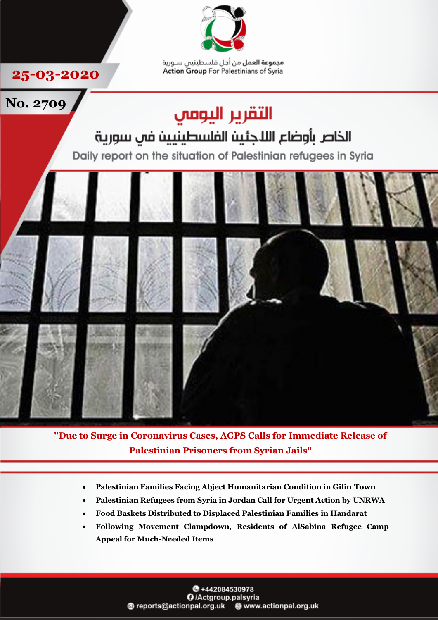

**مجموعة العمل** من أجل فلسطينيس سـورية Action Group For Palestinians of Syria

**25-03-2020**



**"Due to Surge in Coronavirus Cases, AGPS Calls for Immediate Release of Palestinian Prisoners from Syrian Jails"**

- **Palestinian Families Facing Abject Humanitarian Condition in Gilin Town**
- **Palestinian Refugees from Syria in Jordan Call for Urgent Action by UNRWA**
- **Food Baskets Distributed to Displaced Palestinian Families in Handarat**
- **Following Movement Clampdown, Residents of AlSabina Refugee Camp Appeal for Much-Needed Items**

**8+442084530978** O /Actgroup.palsyria @ reports@actionpal.org.uk @ www.actionpal.org.uk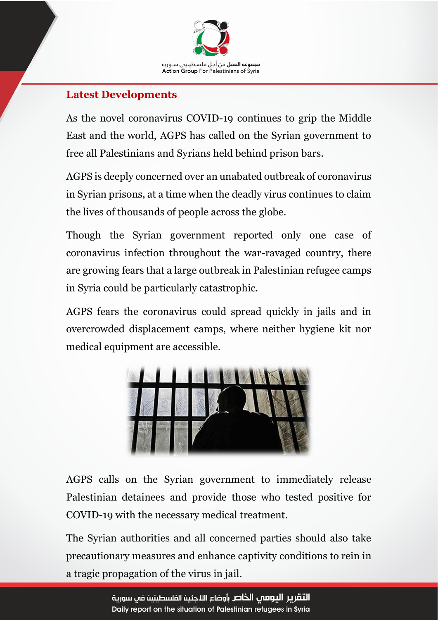

## **Latest Developments**

As the novel coronavirus COVID-19 continues to grip the Middle East and the world, AGPS has called on the Syrian government to free all Palestinians and Syrians held behind prison bars.

AGPS is deeply concerned over an unabated outbreak of coronavirus in Syrian prisons, at a time when the deadly virus continues to claim the lives of thousands of people across the globe.

Though the Syrian government reported only one case of coronavirus infection throughout the war-ravaged country, there are growing fears that a large outbreak in Palestinian refugee camps in Syria could be particularly catastrophic.

AGPS fears the coronavirus could spread quickly in jails and in overcrowded displacement camps, where neither hygiene kit nor medical equipment are accessible.



AGPS calls on the Syrian government to immediately release Palestinian detainees and provide those who tested positive for COVID-19 with the necessary medical treatment.

The Syrian authorities and all concerned parties should also take precautionary measures and enhance captivity conditions to rein in a tragic propagation of the virus in jail.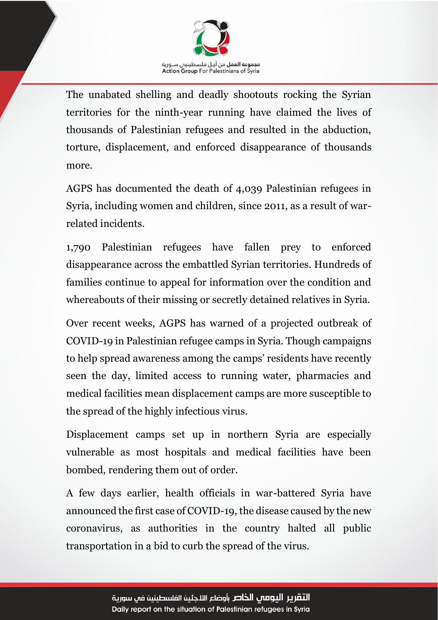

The unabated shelling and deadly shootouts rocking the Syrian territories for the ninth-year running have claimed the lives of thousands of Palestinian refugees and resulted in the abduction, torture, displacement, and enforced disappearance of thousands more.

AGPS has documented the death of 4,039 Palestinian refugees in Syria, including women and children, since 2011, as a result of warrelated incidents.

1,790 Palestinian refugees have fallen prey to enforced disappearance across the embattled Syrian territories. Hundreds of families continue to appeal for information over the condition and whereabouts of their missing or secretly detained relatives in Syria.

Over recent weeks, AGPS has warned of a projected outbreak of COVID-19 in Palestinian refugee camps in Syria. Though campaigns to help spread awareness among the camps' residents have recently seen the day, limited access to running water, pharmacies and medical facilities mean displacement camps are more susceptible to the spread of the highly infectious virus.

Displacement camps set up in northern Syria are especially vulnerable as most hospitals and medical facilities have been bombed, rendering them out of order.

A few days earlier, health officials in war-battered Syria have announced the first case of COVID-19, the disease caused by the new coronavirus, as authorities in the country halted all public transportation in a bid to curb the spread of the virus.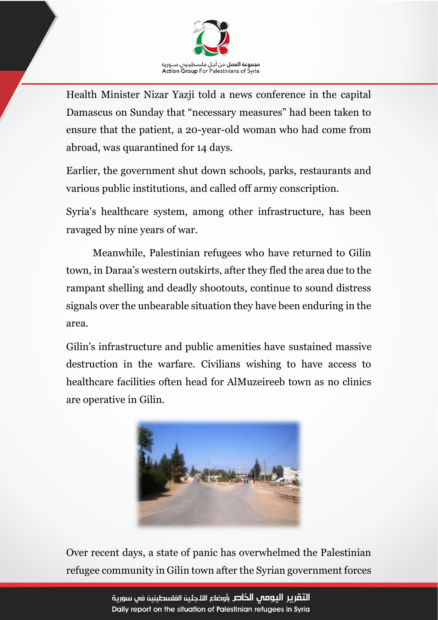

Health Minister Nizar Yazji told a news conference in the capital Damascus on Sunday that "necessary measures" had been taken to ensure that the patient, a 20-year-old woman who had come from abroad, was quarantined for 14 days.

Earlier, the government shut down schools, parks, restaurants and various public institutions, and called off army conscription.

Syria's healthcare system, among other infrastructure, has been ravaged by nine years of war.

Meanwhile, Palestinian refugees who have returned to Gilin town, in Daraa's western outskirts, after they fled the area due to the rampant shelling and deadly shootouts, continue to sound distress signals over the unbearable situation they have been enduring in the area.

Gilin's infrastructure and public amenities have sustained massive destruction in the warfare. Civilians wishing to have access to healthcare facilities often head for AlMuzeireeb town as no clinics are operative in Gilin.



Over recent days, a state of panic has overwhelmed the Palestinian refugee community in Gilin town after the Syrian government forces

> التقرير اليومص الخاص بأوضاع اللاجئين الفلسطينين فم سورية Daily report on the situation of Palestinian refugees in Syria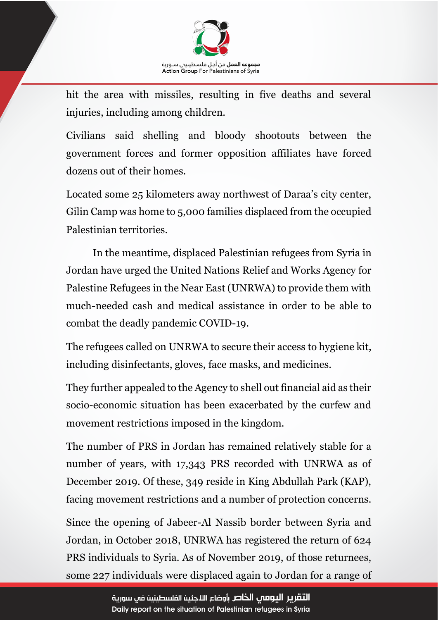

hit the area with missiles, resulting in five deaths and several injuries, including among children.

Civilians said shelling and bloody shootouts between the government forces and former opposition affiliates have forced dozens out of their homes.

Located some 25 kilometers away northwest of Daraa's city center, Gilin Camp was home to 5,000 families displaced from the occupied Palestinian territories.

In the meantime, displaced Palestinian refugees from Syria in Jordan have urged the United Nations Relief and Works Agency for Palestine Refugees in the Near East (UNRWA) to provide them with much-needed cash and medical assistance in order to be able to combat the deadly pandemic COVID-19.

The refugees called on UNRWA to secure their access to hygiene kit, including disinfectants, gloves, face masks, and medicines.

They further appealed to the Agency to shell out financial aid as their socio-economic situation has been exacerbated by the curfew and movement restrictions imposed in the kingdom.

The number of PRS in Jordan has remained relatively stable for a number of years, with 17,343 PRS recorded with UNRWA as of December 2019. Of these, 349 reside in King Abdullah Park (KAP), facing movement restrictions and a number of protection concerns.

Since the opening of Jabeer-Al Nassib border between Syria and Jordan, in October 2018, UNRWA has registered the return of 624 PRS individuals to Syria. As of November 2019, of those returnees, some 227 individuals were displaced again to Jordan for a range of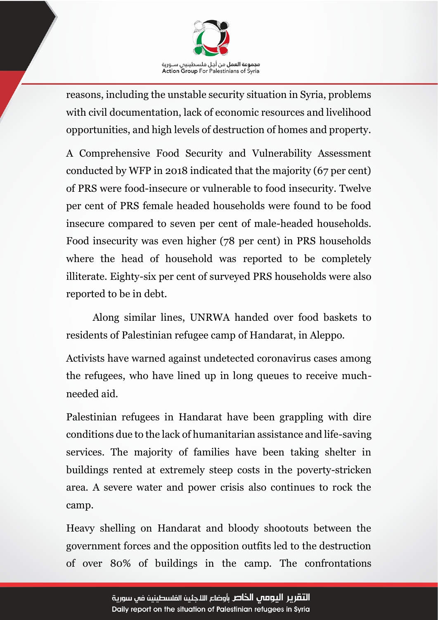

reasons, including the unstable security situation in Syria, problems with civil documentation, lack of economic resources and livelihood opportunities, and high levels of destruction of homes and property.

A Comprehensive Food Security and Vulnerability Assessment conducted by WFP in 2018 indicated that the majority (67 per cent) of PRS were food-insecure or vulnerable to food insecurity. Twelve per cent of PRS female headed households were found to be food insecure compared to seven per cent of male-headed households. Food insecurity was even higher (78 per cent) in PRS households where the head of household was reported to be completely illiterate. Eighty-six per cent of surveyed PRS households were also reported to be in debt.

Along similar lines, UNRWA handed over food baskets to residents of Palestinian refugee camp of Handarat, in Aleppo.

Activists have warned against undetected coronavirus cases among the refugees, who have lined up in long queues to receive muchneeded aid.

Palestinian refugees in Handarat have been grappling with dire conditions due to the lack of humanitarian assistance and life-saving services. The majority of families have been taking shelter in buildings rented at extremely steep costs in the poverty-stricken area. A severe water and power crisis also continues to rock the camp.

Heavy shelling on Handarat and bloody shootouts between the government forces and the opposition outfits led to the destruction of over 80% of buildings in the camp. The confrontations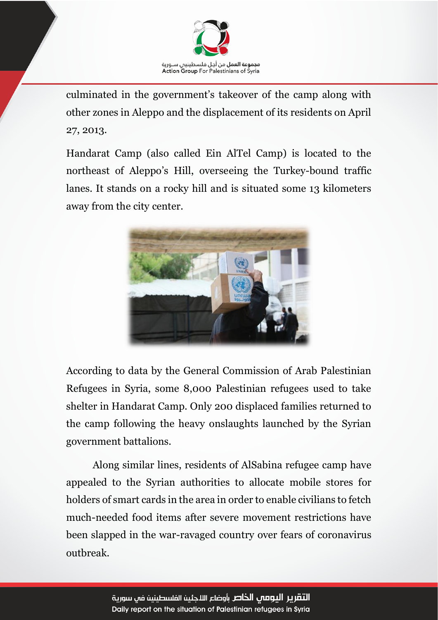

culminated in the government's takeover of the camp along with other zones in Aleppo and the displacement of its residents on April 27, 2013.

Handarat Camp (also called Ein AlTel Camp) is located to the northeast of Aleppo's Hill, overseeing the Turkey-bound traffic lanes. It stands on a rocky hill and is situated some 13 kilometers away from the city center.



According to data by the General Commission of Arab Palestinian Refugees in Syria, some 8,000 Palestinian refugees used to take shelter in Handarat Camp. Only 200 displaced families returned to the camp following the heavy onslaughts launched by the Syrian government battalions.

Along similar lines, residents of AlSabina refugee camp have appealed to the Syrian authorities to allocate mobile stores for holders of smart cards in the area in order to enable civilians to fetch much-needed food items after severe movement restrictions have been slapped in the war-ravaged country over fears of coronavirus outbreak.